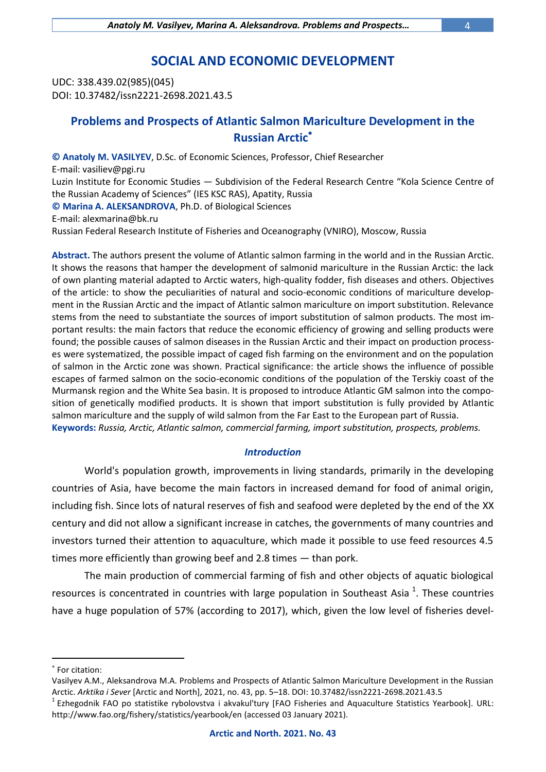# **SOCIAL AND ECONOMIC DEVELOPMENT**

UDC: 338.439.02(985)(045) DOI: 10.37482/issn2221-2698.2021.43.5

# **Problems and Prospects of Atlantic Salmon Mariculture Development in the Russian Arctic**

**© Anatoly M. VASILYEV**, D.Sc. of Economic Sciences, Professor, Chief Researcher E-mail: vasiliev@pgi.ru Luzin Institute for Economic Studies — Subdivision of the Federal Research Centre "Kola Science Centre of the Russian Academy of Sciences" (IES KSC RAS), Apatity, Russia **© Marina A. ALEKSANDROVA**, Ph.D. of Biological Sciences E-mail: alexmarina@bk.ru

Russian Federal Research Institute of Fisheries and Oceanography (VNIRO), Moscow, Russia

**Abstract.** The authors present the volume of Atlantic salmon farming in the world and in the Russian Arctic. It shows the reasons that hamper the development of salmonid mariculture in the Russian Arctic: the lack of own planting material adapted to Arctic waters, high-quality fodder, fish diseases and others. Objectives of the article: to show the peculiarities of natural and socio-economic conditions of mariculture development in the Russian Arctic and the impact of Atlantic salmon mariculture on import substitution. Relevance stems from the need to substantiate the sources of import substitution of salmon products. The most important results: the main factors that reduce the economic efficiency of growing and selling products were found; the possible causes of salmon diseases in the Russian Arctic and their impact on production processes were systematized, the possible impact of caged fish farming on the environment and on the population of salmon in the Arctic zone was shown. Practical significance: the article shows the influence of possible escapes of farmed salmon on the socio-economic conditions of the population of the Terskiy coast of the Murmansk region and the White Sea basin. It is proposed to introduce Atlantic GM salmon into the composition of genetically modified products. It is shown that import substitution is fully provided by Atlantic salmon mariculture and the supply of wild salmon from the Far East to the European part of Russia. **Keywords:** *Russia, Arctic, Atlantic salmon, commercial farming, import substitution, prospects, problems.*

## *Introduction*

World's population growth, improvements in living standards, primarily in the developing countries of Asia, have become the main factors in increased demand for food of animal origin, including fish. Since lots of natural reserves of fish and seafood were depleted by the end of the XX century and did not allow a significant increase in catches, the governments of many countries and investors turned their attention to aquaculture, which made it possible to use feed resources 4.5 times more efficiently than growing beef and 2.8 times — than pork.

The main production of commercial farming of fish and other objects of aquatic biological resources is concentrated in countries with large population in Southeast Asia  $^1$ . These countries have a huge population of 57% (according to 2017), which, given the low level of fisheries devel-

1

For citation:

Vasilyev A.M., Aleksandrova M.A. Problems and Prospects of Atlantic Salmon Mariculture Development in the Russian Arctic. *Arktika i Sever* [Arctic and North], 2021, no. 43, pp. 5–18. DOI: 10.37482/issn2221-2698.2021.43.5

<sup>&</sup>lt;sup>1</sup> Ezhegodnik FAO po statistike rybolovstva i akvakul'tury [FAO Fisheries and Aquaculture Statistics Yearbook]. URL: <http://www.fao.org/fishery/statistics/yearbook/en> (accessed 03 January 2021).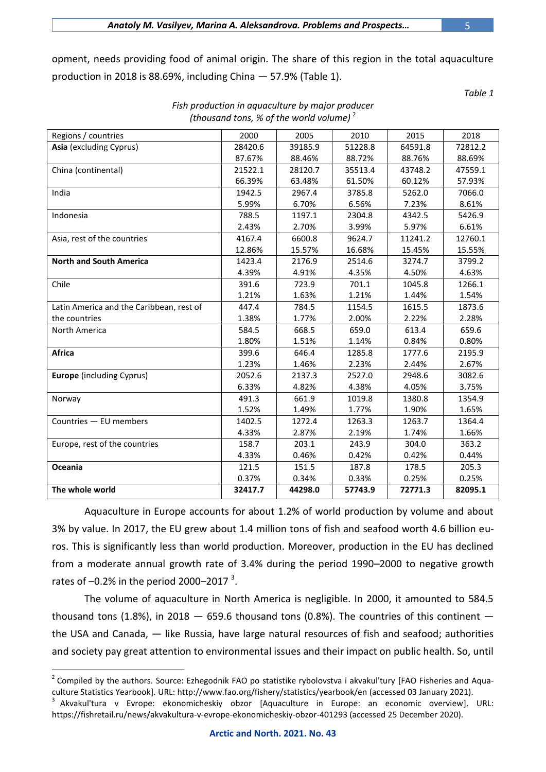opment, needs providing food of animal origin. The share of this region in the total aquaculture production in 2018 is 88.69%, including China — 57.9% (Table 1).

*Table 1*

| Asia (excluding Cyprus)<br>28420.6<br>39185.9<br>51228.8<br>64591.8<br>72812.2<br>87.67%<br>88.46%<br>88.72%<br>88.76%<br>88.69%<br>China (continental)<br>21522.1<br>28120.7<br>35513.4<br>43748.2<br>47559.1<br>66.39%<br>63.48%<br>61.50%<br>60.12%<br>57.93%<br>India<br>1942.5<br>2967.4<br>3785.8<br>5262.0<br>7066.0<br>5.99%<br>6.70%<br>6.56%<br>7.23%<br>8.61%<br>788.5<br>2304.8<br>5426.9<br>Indonesia<br>1197.1<br>4342.5<br>2.43%<br>2.70%<br>3.99%<br>5.97%<br>6.61%<br>Asia, rest of the countries<br>4167.4<br>6600.8<br>9624.7<br>11241.2<br>12760.1<br>15.57%<br>16.68%<br>15.45%<br>15.55%<br>12.86%<br><b>North and South America</b><br>1423.4<br>2176.9<br>2514.6<br>3274.7<br>3799.2<br>4.39%<br>4.91%<br>4.35%<br>4.50%<br>4.63%<br>Chile<br>391.6<br>723.9<br>701.1<br>1045.8<br>1266.1<br>1.21%<br>1.54%<br>1.21%<br>1.63%<br>1.44%<br>Latin America and the Caribbean, rest of<br>447.4<br>784.5<br>1154.5<br>1615.5<br>1873.6<br>the countries<br>1.38%<br>1.77%<br>2.00%<br>2.22%<br>2.28%<br>668.5<br>659.0<br>613.4<br>North America<br>584.5<br>659.6<br>1.80%<br>0.80%<br>1.51%<br>1.14%<br>0.84%<br>Africa<br>399.6<br>646.4<br>1285.8<br>1777.6<br>2195.9<br>1.23%<br>1.46%<br>2.23%<br>2.44%<br>2.67%<br><b>Europe</b> (including Cyprus)<br>2052.6<br>2137.3<br>2527.0<br>2948.6<br>3082.6<br>6.33%<br>4.82%<br>4.38%<br>4.05%<br>3.75%<br>491.3<br>661.9<br>1019.8<br>1380.8<br>1354.9<br>Norway<br>1.52%<br>1.49%<br>1.77%<br>1.90%<br>1.65%<br>Countries - EU members<br>1402.5<br>1272.4<br>1263.3<br>1263.7<br>1364.4<br>4.33%<br>2.87%<br>2.19%<br>1.66%<br>1.74%<br>Europe, rest of the countries<br>158.7<br>203.1<br>243.9<br>304.0<br>363.2<br>4.33%<br>0.46%<br>0.42%<br>0.42%<br>0.44%<br>Oceania<br>121.5<br>151.5<br>187.8<br>178.5<br>205.3<br>0.37%<br>0.34%<br>0.25%<br>0.33%<br>0.25%<br>The whole world<br>72771.3<br>32417.7<br>44298.0<br>57743.9<br>82095.1 | Regions / countries | 2000 | 2005 | 2010 | 2015 | 2018 |
|-------------------------------------------------------------------------------------------------------------------------------------------------------------------------------------------------------------------------------------------------------------------------------------------------------------------------------------------------------------------------------------------------------------------------------------------------------------------------------------------------------------------------------------------------------------------------------------------------------------------------------------------------------------------------------------------------------------------------------------------------------------------------------------------------------------------------------------------------------------------------------------------------------------------------------------------------------------------------------------------------------------------------------------------------------------------------------------------------------------------------------------------------------------------------------------------------------------------------------------------------------------------------------------------------------------------------------------------------------------------------------------------------------------------------------------------------------------------------------------------------------------------------------------------------------------------------------------------------------------------------------------------------------------------------------------------------------------------------------------------------------------------------------------------------------------------------------------------------------------------------------------------------------------------------|---------------------|------|------|------|------|------|
|                                                                                                                                                                                                                                                                                                                                                                                                                                                                                                                                                                                                                                                                                                                                                                                                                                                                                                                                                                                                                                                                                                                                                                                                                                                                                                                                                                                                                                                                                                                                                                                                                                                                                                                                                                                                                                                                                                                         |                     |      |      |      |      |      |
|                                                                                                                                                                                                                                                                                                                                                                                                                                                                                                                                                                                                                                                                                                                                                                                                                                                                                                                                                                                                                                                                                                                                                                                                                                                                                                                                                                                                                                                                                                                                                                                                                                                                                                                                                                                                                                                                                                                         |                     |      |      |      |      |      |
|                                                                                                                                                                                                                                                                                                                                                                                                                                                                                                                                                                                                                                                                                                                                                                                                                                                                                                                                                                                                                                                                                                                                                                                                                                                                                                                                                                                                                                                                                                                                                                                                                                                                                                                                                                                                                                                                                                                         |                     |      |      |      |      |      |
|                                                                                                                                                                                                                                                                                                                                                                                                                                                                                                                                                                                                                                                                                                                                                                                                                                                                                                                                                                                                                                                                                                                                                                                                                                                                                                                                                                                                                                                                                                                                                                                                                                                                                                                                                                                                                                                                                                                         |                     |      |      |      |      |      |
|                                                                                                                                                                                                                                                                                                                                                                                                                                                                                                                                                                                                                                                                                                                                                                                                                                                                                                                                                                                                                                                                                                                                                                                                                                                                                                                                                                                                                                                                                                                                                                                                                                                                                                                                                                                                                                                                                                                         |                     |      |      |      |      |      |
|                                                                                                                                                                                                                                                                                                                                                                                                                                                                                                                                                                                                                                                                                                                                                                                                                                                                                                                                                                                                                                                                                                                                                                                                                                                                                                                                                                                                                                                                                                                                                                                                                                                                                                                                                                                                                                                                                                                         |                     |      |      |      |      |      |
|                                                                                                                                                                                                                                                                                                                                                                                                                                                                                                                                                                                                                                                                                                                                                                                                                                                                                                                                                                                                                                                                                                                                                                                                                                                                                                                                                                                                                                                                                                                                                                                                                                                                                                                                                                                                                                                                                                                         |                     |      |      |      |      |      |
|                                                                                                                                                                                                                                                                                                                                                                                                                                                                                                                                                                                                                                                                                                                                                                                                                                                                                                                                                                                                                                                                                                                                                                                                                                                                                                                                                                                                                                                                                                                                                                                                                                                                                                                                                                                                                                                                                                                         |                     |      |      |      |      |      |
|                                                                                                                                                                                                                                                                                                                                                                                                                                                                                                                                                                                                                                                                                                                                                                                                                                                                                                                                                                                                                                                                                                                                                                                                                                                                                                                                                                                                                                                                                                                                                                                                                                                                                                                                                                                                                                                                                                                         |                     |      |      |      |      |      |
|                                                                                                                                                                                                                                                                                                                                                                                                                                                                                                                                                                                                                                                                                                                                                                                                                                                                                                                                                                                                                                                                                                                                                                                                                                                                                                                                                                                                                                                                                                                                                                                                                                                                                                                                                                                                                                                                                                                         |                     |      |      |      |      |      |
|                                                                                                                                                                                                                                                                                                                                                                                                                                                                                                                                                                                                                                                                                                                                                                                                                                                                                                                                                                                                                                                                                                                                                                                                                                                                                                                                                                                                                                                                                                                                                                                                                                                                                                                                                                                                                                                                                                                         |                     |      |      |      |      |      |
|                                                                                                                                                                                                                                                                                                                                                                                                                                                                                                                                                                                                                                                                                                                                                                                                                                                                                                                                                                                                                                                                                                                                                                                                                                                                                                                                                                                                                                                                                                                                                                                                                                                                                                                                                                                                                                                                                                                         |                     |      |      |      |      |      |
|                                                                                                                                                                                                                                                                                                                                                                                                                                                                                                                                                                                                                                                                                                                                                                                                                                                                                                                                                                                                                                                                                                                                                                                                                                                                                                                                                                                                                                                                                                                                                                                                                                                                                                                                                                                                                                                                                                                         |                     |      |      |      |      |      |
|                                                                                                                                                                                                                                                                                                                                                                                                                                                                                                                                                                                                                                                                                                                                                                                                                                                                                                                                                                                                                                                                                                                                                                                                                                                                                                                                                                                                                                                                                                                                                                                                                                                                                                                                                                                                                                                                                                                         |                     |      |      |      |      |      |
|                                                                                                                                                                                                                                                                                                                                                                                                                                                                                                                                                                                                                                                                                                                                                                                                                                                                                                                                                                                                                                                                                                                                                                                                                                                                                                                                                                                                                                                                                                                                                                                                                                                                                                                                                                                                                                                                                                                         |                     |      |      |      |      |      |
|                                                                                                                                                                                                                                                                                                                                                                                                                                                                                                                                                                                                                                                                                                                                                                                                                                                                                                                                                                                                                                                                                                                                                                                                                                                                                                                                                                                                                                                                                                                                                                                                                                                                                                                                                                                                                                                                                                                         |                     |      |      |      |      |      |
|                                                                                                                                                                                                                                                                                                                                                                                                                                                                                                                                                                                                                                                                                                                                                                                                                                                                                                                                                                                                                                                                                                                                                                                                                                                                                                                                                                                                                                                                                                                                                                                                                                                                                                                                                                                                                                                                                                                         |                     |      |      |      |      |      |
|                                                                                                                                                                                                                                                                                                                                                                                                                                                                                                                                                                                                                                                                                                                                                                                                                                                                                                                                                                                                                                                                                                                                                                                                                                                                                                                                                                                                                                                                                                                                                                                                                                                                                                                                                                                                                                                                                                                         |                     |      |      |      |      |      |
|                                                                                                                                                                                                                                                                                                                                                                                                                                                                                                                                                                                                                                                                                                                                                                                                                                                                                                                                                                                                                                                                                                                                                                                                                                                                                                                                                                                                                                                                                                                                                                                                                                                                                                                                                                                                                                                                                                                         |                     |      |      |      |      |      |
|                                                                                                                                                                                                                                                                                                                                                                                                                                                                                                                                                                                                                                                                                                                                                                                                                                                                                                                                                                                                                                                                                                                                                                                                                                                                                                                                                                                                                                                                                                                                                                                                                                                                                                                                                                                                                                                                                                                         |                     |      |      |      |      |      |
|                                                                                                                                                                                                                                                                                                                                                                                                                                                                                                                                                                                                                                                                                                                                                                                                                                                                                                                                                                                                                                                                                                                                                                                                                                                                                                                                                                                                                                                                                                                                                                                                                                                                                                                                                                                                                                                                                                                         |                     |      |      |      |      |      |
|                                                                                                                                                                                                                                                                                                                                                                                                                                                                                                                                                                                                                                                                                                                                                                                                                                                                                                                                                                                                                                                                                                                                                                                                                                                                                                                                                                                                                                                                                                                                                                                                                                                                                                                                                                                                                                                                                                                         |                     |      |      |      |      |      |
|                                                                                                                                                                                                                                                                                                                                                                                                                                                                                                                                                                                                                                                                                                                                                                                                                                                                                                                                                                                                                                                                                                                                                                                                                                                                                                                                                                                                                                                                                                                                                                                                                                                                                                                                                                                                                                                                                                                         |                     |      |      |      |      |      |
|                                                                                                                                                                                                                                                                                                                                                                                                                                                                                                                                                                                                                                                                                                                                                                                                                                                                                                                                                                                                                                                                                                                                                                                                                                                                                                                                                                                                                                                                                                                                                                                                                                                                                                                                                                                                                                                                                                                         |                     |      |      |      |      |      |
|                                                                                                                                                                                                                                                                                                                                                                                                                                                                                                                                                                                                                                                                                                                                                                                                                                                                                                                                                                                                                                                                                                                                                                                                                                                                                                                                                                                                                                                                                                                                                                                                                                                                                                                                                                                                                                                                                                                         |                     |      |      |      |      |      |
|                                                                                                                                                                                                                                                                                                                                                                                                                                                                                                                                                                                                                                                                                                                                                                                                                                                                                                                                                                                                                                                                                                                                                                                                                                                                                                                                                                                                                                                                                                                                                                                                                                                                                                                                                                                                                                                                                                                         |                     |      |      |      |      |      |
|                                                                                                                                                                                                                                                                                                                                                                                                                                                                                                                                                                                                                                                                                                                                                                                                                                                                                                                                                                                                                                                                                                                                                                                                                                                                                                                                                                                                                                                                                                                                                                                                                                                                                                                                                                                                                                                                                                                         |                     |      |      |      |      |      |
|                                                                                                                                                                                                                                                                                                                                                                                                                                                                                                                                                                                                                                                                                                                                                                                                                                                                                                                                                                                                                                                                                                                                                                                                                                                                                                                                                                                                                                                                                                                                                                                                                                                                                                                                                                                                                                                                                                                         |                     |      |      |      |      |      |
|                                                                                                                                                                                                                                                                                                                                                                                                                                                                                                                                                                                                                                                                                                                                                                                                                                                                                                                                                                                                                                                                                                                                                                                                                                                                                                                                                                                                                                                                                                                                                                                                                                                                                                                                                                                                                                                                                                                         |                     |      |      |      |      |      |
|                                                                                                                                                                                                                                                                                                                                                                                                                                                                                                                                                                                                                                                                                                                                                                                                                                                                                                                                                                                                                                                                                                                                                                                                                                                                                                                                                                                                                                                                                                                                                                                                                                                                                                                                                                                                                                                                                                                         |                     |      |      |      |      |      |
|                                                                                                                                                                                                                                                                                                                                                                                                                                                                                                                                                                                                                                                                                                                                                                                                                                                                                                                                                                                                                                                                                                                                                                                                                                                                                                                                                                                                                                                                                                                                                                                                                                                                                                                                                                                                                                                                                                                         |                     |      |      |      |      |      |

*Fish production in aquaculture by major producer (thousand tons, % of the world volume)* <sup>2</sup>

Aquaculture in Europe accounts for about 1.2% of world production by volume and about 3% by value. In 2017, the EU grew about 1.4 million tons of fish and seafood worth 4.6 billion euros. This is significantly less than world production. Moreover, production in the EU has declined from a moderate annual growth rate of 3.4% during the period 1990–2000 to negative growth rates of  $-0.2\%$  in the period 2000–2017<sup>3</sup>.

The volume of aquaculture in North America is negligible. In 2000, it amounted to 584.5 thousand tons (1.8%), in 2018  $-$  659.6 thousand tons (0.8%). The countries of this continent  $$ the USA and Canada, — like Russia, have large natural resources of fish and seafood; authorities and society pay great attention to environmental issues and their impact on public health. So, until

1

 $2$  Compiled by the authors. Source: Ezhegodnik FAO po statistike rybolovstva i akvakul'tury [FAO Fisheries and Aquaculture Statistics Yearbook]. URL[: http://www.fao.org/fishery/statistics/yearbook/en](http://www.fao.org/fishery/statistics/yearbook/en) (accessed 03 January 2021).

<sup>3</sup> Akvakul'tura v Evrope: ekonomicheskiy obzor [Aquaculture in Europe: an economic overview]. URL: <https://fishretail.ru/news/akvakultura-v-evrope-ekonomicheskiy-obzor-401293> (accessed 25 December 2020).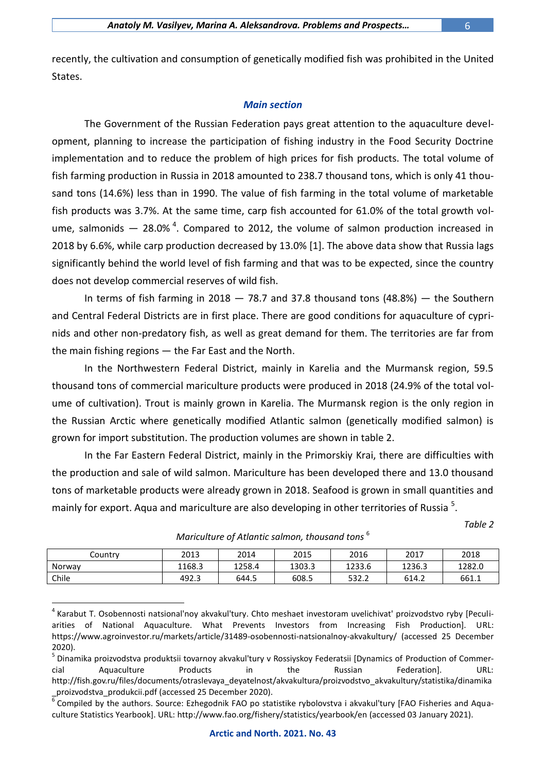recently, the cultivation and consumption of genetically modified fish was prohibited in the United States.

### *Main section*

The Government of the Russian Federation pays great attention to the aquaculture development, planning to increase the participation of fishing industry in the Food Security Doctrine implementation and to reduce the problem of high prices for fish products. The total volume of fish farming production in Russia in 2018 amounted to 238.7 thousand tons, which is only 41 thousand tons (14.6%) less than in 1990. The value of fish farming in the total volume of marketable fish products was 3.7%. At the same time, carp fish accounted for 61.0% of the total growth volume, salmonids  $-28.0\%$ <sup>4</sup>. Compared to 2012, the volume of salmon production increased in 2018 by 6.6%, while carp production decreased by 13.0% [1]. The above data show that Russia lags significantly behind the world level of fish farming and that was to be expected, since the country does not develop commercial reserves of wild fish.

In terms of fish farming in  $2018 - 78.7$  and 37.8 thousand tons (48.8%)  $-$  the Southern and Central Federal Districts are in first place. There are good conditions for aquaculture of cyprinids and other non-predatory fish, as well as great demand for them. The territories are far from the main fishing regions — the Far East and the North.

In the Northwestern Federal District, mainly in Karelia and the Murmansk region, 59.5 thousand tons of commercial mariculture products were produced in 2018 (24.9% of the total volume of cultivation). Trout is mainly grown in Karelia. The Murmansk region is the only region in the Russian Arctic where genetically modified Atlantic salmon (genetically modified salmon) is grown for import substitution. The production volumes are shown in table 2.

In the Far Eastern Federal District, mainly in the Primorskiy Krai, there are difficulties with the production and sale of wild salmon. Mariculture has been developed there and 13.0 thousand tons of marketable products were already grown in 2018. Seafood is grown in small quantities and mainly for export. Aqua and mariculture are also developing in other territories of Russia <sup>5</sup>.

*Table 2*

| Country | 2013   | 2014   | 2015   | 2016   | 2017   | 2018   |
|---------|--------|--------|--------|--------|--------|--------|
| Norway  | 1168.3 | 1258.4 | 1303.3 | 1233.6 | 1236.3 | 1282.0 |
| Chile   | 492.3  | 644.5  | 608.5  | 532.2  | 614.2  | 661.1  |

1

*Mariculture of Atlantic salmon, thousand tons* <sup>6</sup>

<sup>&</sup>lt;sup>4</sup> Karabut T. Osobennosti natsional'noy akvakul'tury. Chto meshaet investoram uvelichivat' proizvodstvo ryby [Peculiarities of National Aquaculture. What Prevents Investors from Increasing Fish Production]. URL: <https://www.agroinvestor.ru/markets/article/31489-osobennosti-natsionalnoy-akvakultury/> (accessed 25 December 2020).

<sup>&</sup>lt;sup>5</sup> Dinamika proizvodstva produktsii tovarnoy akvakul'tury v Rossiyskoy Federatsii [Dynamics of Production of Commercial Aquaculture Products in the Russian Federation]. URL: [http://fish.gov.ru/files/documents/otraslevaya\\_deyatelnost/akvakultura/proizvodstvo\\_akvakultury/statistika/dinamika](http://fish.gov.ru/files/documents/otraslevaya_deyatelnost/akvakultura/proizvodstvo_akvakultury/statistika/dinamika_proizvodstva_produkcii.pdf)

[\\_proizvodstva\\_produkcii.pdf](http://fish.gov.ru/files/documents/otraslevaya_deyatelnost/akvakultura/proizvodstvo_akvakultury/statistika/dinamika_proizvodstva_produkcii.pdf) (accessed 25 December 2020).<br><sup>6</sup> Compiled by the authors. Source: Ezhegodnik FAO po statistike rybolovstva i akvakul'tury [FAO Fisheries and Aquaculture Statistics Yearbook]. URL:<http://www.fao.org/fishery/statistics/yearbook/en> (accessed 03 January 2021).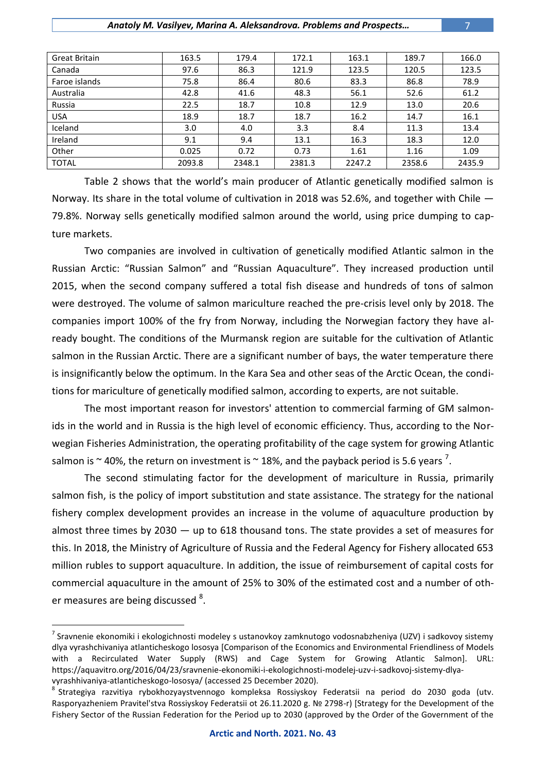| <b>Great Britain</b> | 163.5  | 179.4  | 172.1  | 163.1  | 189.7  | 166.0  |
|----------------------|--------|--------|--------|--------|--------|--------|
| Canada               | 97.6   | 86.3   | 121.9  | 123.5  | 120.5  | 123.5  |
| Faroe islands        | 75.8   | 86.4   | 80.6   | 83.3   | 86.8   | 78.9   |
| Australia            | 42.8   | 41.6   | 48.3   | 56.1   | 52.6   | 61.2   |
| Russia               | 22.5   | 18.7   | 10.8   | 12.9   | 13.0   | 20.6   |
| <b>USA</b>           | 18.9   | 18.7   | 18.7   | 16.2   | 14.7   | 16.1   |
| Iceland              | 3.0    | 4.0    | 3.3    | 8.4    | 11.3   | 13.4   |
| Ireland              | 9.1    | 9.4    | 13.1   | 16.3   | 18.3   | 12.0   |
| Other                | 0.025  | 0.72   | 0.73   | 1.61   | 1.16   | 1.09   |
| <b>TOTAL</b>         | 2093.8 | 2348.1 | 2381.3 | 2247.2 | 2358.6 | 2435.9 |

Table 2 shows that the world's main producer of Atlantic genetically modified salmon is Norway. Its share in the total volume of cultivation in 2018 was 52.6%, and together with Chile — 79.8%. Norway sells genetically modified salmon around the world, using price dumping to capture markets.

Two companies are involved in cultivation of genetically modified Atlantic salmon in the Russian Arctic: "Russian Salmon" and "Russian Aquaculture". They increased production until 2015, when the second company suffered a total fish disease and hundreds of tons of salmon were destroyed. The volume of salmon mariculture reached the pre-crisis level only by 2018. The companies import 100% of the fry from Norway, including the Norwegian factory they have already bought. The conditions of the Murmansk region are suitable for the cultivation of Atlantic salmon in the Russian Arctic. There are a significant number of bays, the water temperature there is insignificantly below the optimum. In the Kara Sea and other seas of the Arctic Ocean, the conditions for mariculture of genetically modified salmon, according to experts, are not suitable.

The most important reason for investors' attention to commercial farming of GM salmonids in the world and in Russia is the high level of economic efficiency. Thus, according to the Norwegian Fisheries Administration, the operating profitability of the cage system for growing Atlantic salmon is  $\sim$  40%, the return on investment is  $\sim$  18%, and the payback period is 5.6 years  $^7$ .

The second stimulating factor for the development of mariculture in Russia, primarily salmon fish, is the policy of import substitution and state assistance. The strategy for the national fishery complex development provides an increase in the volume of aquaculture production by almost three times by 2030  $-$  up to 618 thousand tons. The state provides a set of measures for this. In 2018, the Ministry of Agriculture of Russia and the Federal Agency for Fishery allocated 653 million rubles to support aquaculture. In addition, the issue of reimbursement of capital costs for commercial aquaculture in the amount of 25% to 30% of the estimated cost and a number of other measures are being discussed <sup>8</sup>.

1

**Arctic and North. 2021. No. 43**

<sup>&</sup>lt;sup>7</sup> Sravnenie ekonomiki i ekologichnosti modeley s ustanovkoy zamknutogo vodosnabzheniya (UZV) i sadkovoy sistemy dlya vyrashchivaniya atlanticheskogo lososya [Comparison of the Economics and Environmental Friendliness of Models with a Recirculated Water Supply (RWS) and Cage System for Growing Atlantic Salmon]. URL: [https://aquavitro.org/2016/04/23/sravnenie-ekonomiki-i-ekologichnosti-modelej-uzv-i-sadkovoj-sistemy-dlya](https://aquavitro.org/2016/04/23/sravnenie-ekonomiki-i-ekologichnosti-modelej-uzv-i-sadkovoj-sistemy-dlya-vyrashhivaniya-atlanticheskogo-lososya/)[vyrashhivaniya-atlanticheskogo-lososya/](https://aquavitro.org/2016/04/23/sravnenie-ekonomiki-i-ekologichnosti-modelej-uzv-i-sadkovoj-sistemy-dlya-vyrashhivaniya-atlanticheskogo-lososya/) (accessed 25 December 2020).

<sup>&</sup>lt;sup>8</sup> Strategiya razvitiya rybokhozyaystvennogo kompleksa Rossiyskoy Federatsii na period do 2030 goda (utv. Rasporyazheniem Pravitel'stva Rossiyskoy Federatsii ot 26.11.2020 g. № 2798-r) [Strategy for the Development of the Fishery Sector of the Russian Federation for the Period up to 2030 (approved by the Order of the Government of the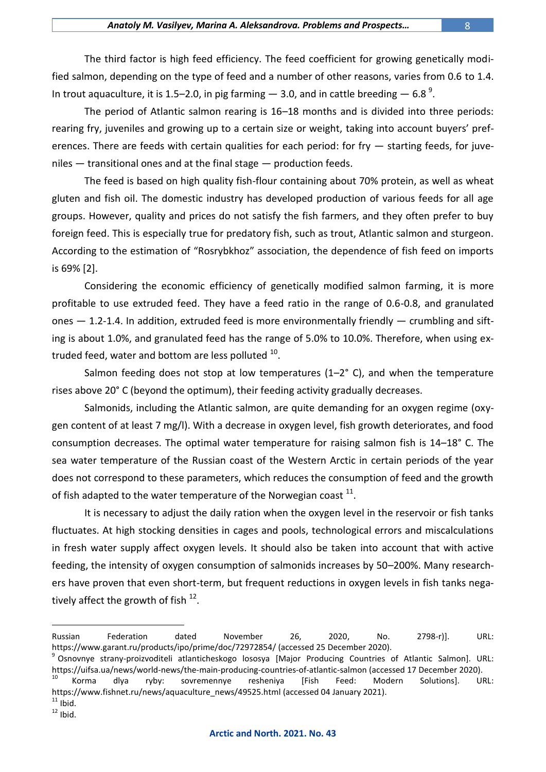The third factor is high feed efficiency. The feed coefficient for growing genetically modified salmon, depending on the type of feed and a number of other reasons, varies from 0.6 to 1.4. In trout aquaculture, it is 1.5–2.0, in pig farming  $-$  3.0, and in cattle breeding  $-$  6.8<sup>9</sup>.

The period of Atlantic salmon rearing is 16–18 months and is divided into three periods: rearing fry, juveniles and growing up to a certain size or weight, taking into account buyers' preferences. There are feeds with certain qualities for each period: for fry — starting feeds, for juveniles — transitional ones and at the final stage — production feeds.

The feed is based on high quality fish-flour containing about 70% protein, as well as wheat gluten and fish oil. The domestic industry has developed production of various feeds for all age groups. However, quality and prices do not satisfy the fish farmers, and they often prefer to buy foreign feed. This is especially true for predatory fish, such as trout, Atlantic salmon and sturgeon. According to the estimation of "Rosrybkhoz" association, the dependence of fish feed on imports is 69% [2].

Considering the economic efficiency of genetically modified salmon farming, it is more profitable to use extruded feed. They have a feed ratio in the range of 0.6-0.8, and granulated ones  $-$  1.2-1.4. In addition, extruded feed is more environmentally friendly  $-$  crumbling and sifting is about 1.0%, and granulated feed has the range of 5.0% to 10.0%. Therefore, when using extruded feed, water and bottom are less polluted  $^{10}$ .

Salmon feeding does not stop at low temperatures (1-2° C), and when the temperature rises above 20° С (beyond the optimum), their feeding activity gradually decreases.

Salmonids, including the Atlantic salmon, are quite demanding for an oxygen regime (oxygen content of at least 7 mg/l). With a decrease in oxygen level, fish growth deteriorates, and food consumption decreases. The optimal water temperature for raising salmon fish is 14–18° С. The sea water temperature of the Russian coast of the Western Arctic in certain periods of the year does not correspond to these parameters, which reduces the consumption of feed and the growth of fish adapted to the water temperature of the Norwegian coast  $^{11}$ .

It is necessary to adjust the daily ration when the oxygen level in the reservoir or fish tanks fluctuates. At high stocking densities in cages and pools, technological errors and miscalculations in fresh water supply affect oxygen levels. It should also be taken into account that with active feeding, the intensity of oxygen consumption of salmonids increases by 50–200%. Many researchers have proven that even short-term, but frequent reductions in oxygen levels in fish tanks negatively affect the growth of fish  $^{12}$ .

 $11$  Ibid.

1

 $12 \overline{1}$  Ibid.

Russian Federation dated November 26, 2020, No. 2798-r)]. URL: <https://www.garant.ru/products/ipo/prime/doc/72972854/> (accessed 25 December 2020).

<sup>9</sup> Osnovnye strany-proizvoditeli atlanticheskogo lososya [Major Producing Countries of Atlantic Salmon]. URL: <https://uifsa.ua/news/world-news/the-main-producing-countries-of-atlantic-salmon> (accessed 17 December 2020).

<sup>&</sup>lt;sup>10</sup> Korma dlya ryby: sovremennye resheniya [Fish Feed: Modern Solutions]. URL: [https://www.fishnet.ru/news/aquaculture\\_news/49525.html](https://www.fishnet.ru/news/aquaculture_news/49525.html) (accessed 04 January 2021).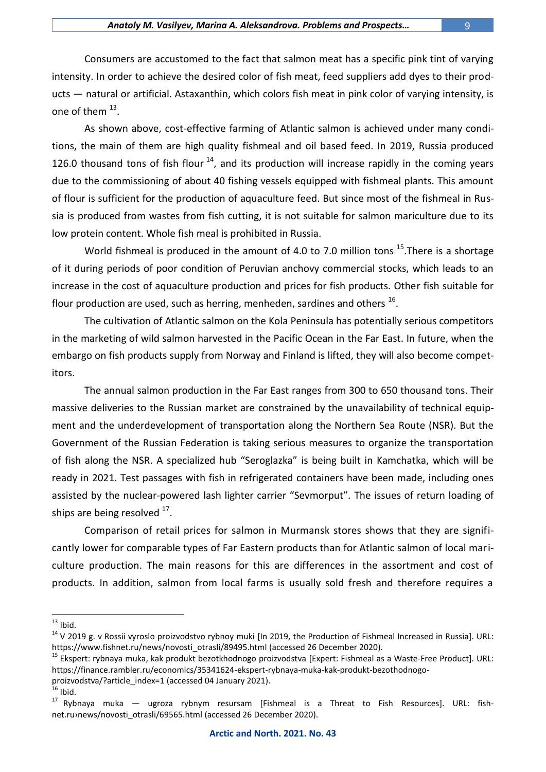Consumers are accustomed to the fact that salmon meat has a specific pink tint of varying intensity. In order to achieve the desired color of fish meat, feed suppliers add dyes to their products — natural or artificial. Astaxanthin, which colors fish meat in pink color of varying intensity, is one of them  $^{13}$ .

As shown above, cost-effective farming of Atlantic salmon is achieved under many conditions, the main of them are high quality fishmeal and oil based feed. In 2019, Russia produced 126.0 thousand tons of fish flour  $^{14}$ , and its production will increase rapidly in the coming years due to the commissioning of about 40 fishing vessels equipped with fishmeal plants. This amount of flour is sufficient for the production of aquaculture feed. But since most of the fishmeal in Russia is produced from wastes from fish cutting, it is not suitable for salmon mariculture due to its low protein content. Whole fish meal is prohibited in Russia.

World fishmeal is produced in the amount of 4.0 to 7.0 million tons  $^{15}$ . There is a shortage of it during periods of poor condition of Peruvian anchovy commercial stocks, which leads to an increase in the cost of aquaculture production and prices for fish products. Other fish suitable for flour production are used, such as herring, menheden, sardines and others  $^{16}$ .

The cultivation of Atlantic salmon on the Kola Peninsula has potentially serious competitors in the marketing of wild salmon harvested in the Pacific Ocean in the Far East. In future, when the embargo on fish products supply from Norway and Finland is lifted, they will also become competitors.

The annual salmon production in the Far East ranges from 300 to 650 thousand tons. Their massive deliveries to the Russian market are constrained by the unavailability of technical equipment and the underdevelopment of transportation along the Northern Sea Route (NSR). But the Government of the Russian Federation is taking serious measures to organize the transportation of fish along the NSR. A specialized hub "Seroglazka" is being built in Kamchatka, which will be ready in 2021. Test passages with fish in refrigerated containers have been made, including ones assisted by the nuclear-powered lash lighter carrier "Sevmorput". The issues of return loading of ships are being resolved  $^{17}$ .

Comparison of retail prices for salmon in Murmansk stores shows that they are significantly lower for comparable types of Far Eastern products than for Atlantic salmon of local mariculture production. The main reasons for this are differences in the assortment and cost of products. In addition, salmon from local farms is usually sold fresh and therefore requires a

<u>.</u>

- [proizvodstva/?article\\_index=1](https://finance.rambler.ru/economics/35341624-ekspert-rybnaya-muka-kak-produkt-bezothodnogo-proizvodstva/?article_index=1) (accessed 04 January 2021).
- $16$  Ibid.

 $13$  Ibid.

 $14$  V 2019 g. v Rossii vyroslo proizvodstvo rybnoy muki [In 2019, the Production of Fishmeal Increased in Russia]. URL: [https://www.fishnet.ru/news/novosti\\_otrasli/89495.html](https://www.fishnet.ru/news/novosti_otrasli/89495.html) (accessed 26 December 2020).

<sup>&</sup>lt;sup>15</sup> Ekspert: rybnaya muka, kak produkt bezotkhodnogo proizvodstva [Expert: Fishmeal as a Waste-Free Product]. URL: [https://finance.rambler.ru/economics/35341624-ekspert-rybnaya-muka-kak-produkt-bezothodnogo-](https://finance.rambler.ru/economics/35341624-ekspert-rybnaya-muka-kak-produkt-bezothodnogo-proizvodstva/?article_index=1)

 $17$  Rybnaya muka — ugroza rybnym resursam [Fishmeal is a Threat to Fish Resources]. URL: [fish](https://www.fishnet.ru/news/novosti_otrasli/69565.html)net.ru>news/novosti\_otrasli/69565.html (accessed 26 December 2020).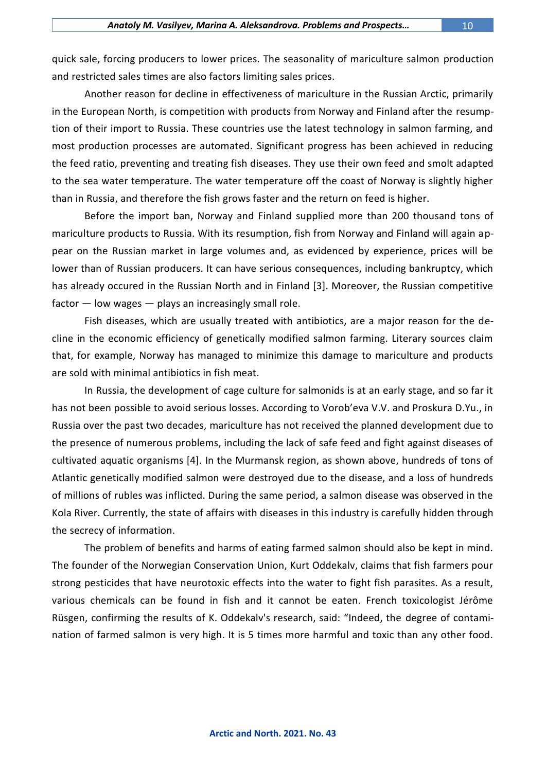quick sale, forcing producers to lower prices. The seasonality of mariculture salmon production and restricted sales times are also factors limiting sales prices.

Another reason for decline in effectiveness of mariculture in the Russian Arctic, primarily in the European North, is competition with products from Norway and Finland after the resumption of their import to Russia. These countries use the latest technology in salmon farming, and most production processes are automated. Significant progress has been achieved in reducing the feed ratio, preventing and treating fish diseases. They use their own feed and smolt adapted to the sea water temperature. The water temperature off the coast of Norway is slightly higher than in Russia, and therefore the fish grows faster and the return on feed is higher.

Before the import ban, Norway and Finland supplied more than 200 thousand tons of mariculture products to Russia. With its resumption, fish from Norway and Finland will again appear on the Russian market in large volumes and, as evidenced by experience, prices will be lower than of Russian producers. It can have serious consequences, including bankruptcy, which has already occured in the Russian North and in Finland [3]. Moreover, the Russian competitive  $factor$  — low wages — plays an increasingly small role.

Fish diseases, which are usually treated with antibiotics, are a major reason for the decline in the economic efficiency of genetically modified salmon farming. Literary sources claim that, for example, Norway has managed to minimize this damage to mariculture and products are sold with minimal antibiotics in fish meat.

In Russia, the development of cage culture for salmonids is at an early stage, and so far it has not been possible to avoid serious losses. According to Vorob'eva V.V. and Proskura D.Yu., in Russia over the past two decades, mariculture has not received the planned development due to the presence of numerous problems, including the lack of safe feed and fight against diseases of cultivated aquatic organisms [4]. In the Murmansk region, as shown above, hundreds of tons of Atlantic genetically modified salmon were destroyed due to the disease, and a loss of hundreds of millions of rubles was inflicted. During the same period, a salmon disease was observed in the Kola River. Currently, the state of affairs with diseases in this industry is carefully hidden through the secrecy of information.

The problem of benefits and harms of eating farmed salmon should also be kept in mind. The founder of the Norwegian Conservation Union, Kurt Oddekalv, claims that fish farmers pour strong pesticides that have neurotoxic effects into the water to fight fish parasites. As a result, various chemicals can be found in fish and it cannot be eaten. French toxicologist Jérôme Rüsgen, confirming the results of K. Oddekalv's research, said: "Indeed, the degree of contamination of farmed salmon is very high. It is 5 times more harmful and toxic than any other food.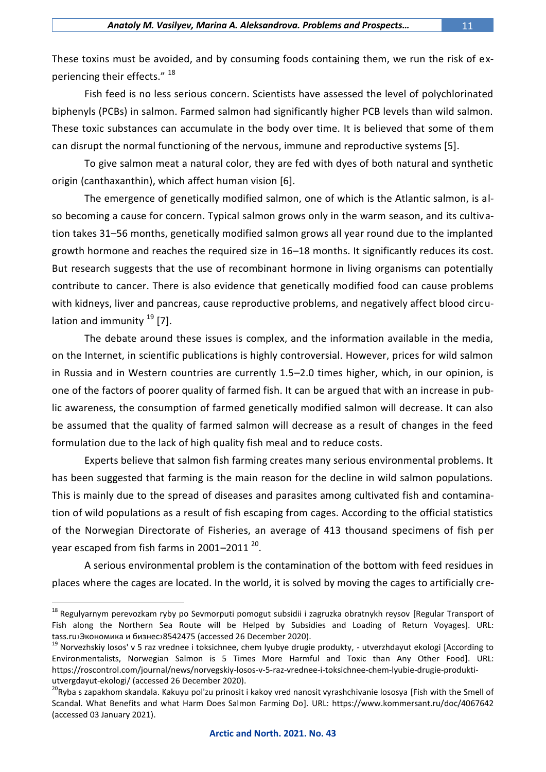These toxins must be avoided, and by consuming foods containing them, we run the risk of experiencing their effects." <sup>18</sup>

Fish feed is no less serious concern. Scientists have assessed the level of polychlorinated biphenyls (PCBs) in salmon. Farmed salmon had significantly higher PCB levels than wild salmon. These toxic substances can accumulate in the body over time. It is believed that some of them can disrupt the normal functioning of the nervous, immune and reproductive systems [5].

To give salmon meat a natural color, they are fed with dyes of both natural and synthetic origin (canthaxanthin), which affect human vision [6].

The emergence of genetically modified salmon, one of which is the Atlantic salmon, is also becoming a cause for concern. Typical salmon grows only in the warm season, and its cultivation takes 31–56 months, genetically modified salmon grows all year round due to the implanted growth hormone and reaches the required size in 16–18 months. It significantly reduces its cost. But research suggests that the use of recombinant hormone in living organisms can potentially contribute to cancer. There is also evidence that genetically modified food can cause problems with kidneys, liver and pancreas, cause reproductive problems, and negatively affect blood circulation and immunity  $^{19}$  [7].

The debate around these issues is complex, and the information available in the media, on the Internet, in scientific publications is highly controversial. However, prices for wild salmon in Russia and in Western countries are currently 1.5–2.0 times higher, which, in our opinion, is one of the factors of poorer quality of farmed fish. It can be argued that with an increase in public awareness, the consumption of farmed genetically modified salmon will decrease. It can also be assumed that the quality of farmed salmon will decrease as a result of changes in the feed formulation due to the lack of high quality fish meal and to reduce costs.

Experts believe that salmon fish farming creates many serious environmental problems. It has been suggested that farming is the main reason for the decline in wild salmon populations. This is mainly due to the spread of diseases and parasites among cultivated fish and contamination of wild populations as a result of fish escaping from cages. According to the official statistics of the Norwegian Directorate of Fisheries, an average of 413 thousand specimens of fish per year escaped from fish farms in 2001–2011  $^{20}$ .

A serious environmental problem is the contamination of the bottom with feed residues in places where the cages are located. In the world, it is solved by moving the cages to artificially cre-

1

<sup>&</sup>lt;sup>18</sup> Regulyarnym perevozkam ryby po Sevmorputi pomogut subsidii i zagruzka obratnykh reysov [Regular Transport of Fish along the Northern Sea Route will be Helped by Subsidies and Loading of Return Voyages]. URL: tass.ru›Экономика и [бизнес›8542475](https://tass.ru/ekonomika/8542475) (accessed 26 December 2020).

 $19$  Norvezhskiy losos' v 5 raz vrednee i toksichnee, chem lyubye drugie produkty, - utverzhdayut ekologi [According to Environmentalists, Norwegian Salmon is 5 Times More Harmful and Toxic than Any Other Food]. URL: [https://roscontrol.com/journal/news/norvegskiy-losos-v-5-raz-vrednee-i-toksichnee-chem-lyubie-drugie-produkti](https://roscontrol.com/journal/news/norvegskiy-losos-v-5-raz-vrednee-i-toksichnee-chem-lyubie-drugie-produkti-utvergdayut-ekologi/)[utvergdayut-ekologi/](https://roscontrol.com/journal/news/norvegskiy-losos-v-5-raz-vrednee-i-toksichnee-chem-lyubie-drugie-produkti-utvergdayut-ekologi/) (accessed 26 December 2020).

<sup>&</sup>lt;sup>20</sup>Ryba s zapakhom skandala. Kakuyu pol'zu prinosit i kakoy vred nanosit vyrashchivanie lososya [Fish with the Smell of Scandal. What Benefits and what Harm Does Salmon Farming Do]. URL: https://www.kommersant.ru/doc/4067642 (accessed 03 January 2021).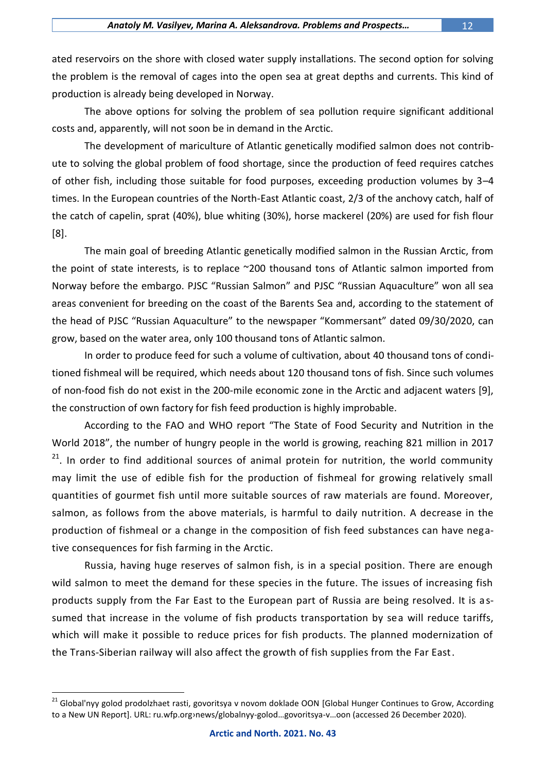ated reservoirs on the shore with closed water supply installations. The second option for solving the problem is the removal of cages into the open sea at great depths and currents. This kind of production is already being developed in Norway.

The above options for solving the problem of sea pollution require significant additional costs and, apparently, will not soon be in demand in the Arctic.

The development of mariculture of Atlantic genetically modified salmon does not contribute to solving the global problem of food shortage, since the production of feed requires catches of other fish, including those suitable for food purposes, exceeding production volumes by 3–4 times. In the European countries of the North-East Atlantic coast, 2/3 of the anchovy catch, half of the catch of capelin, sprat (40%), blue whiting (30%), horse mackerel (20%) are used for fish flour [8].

The main goal of breeding Atlantic genetically modified salmon in the Russian Arctic, from the point of state interests, is to replace ~200 thousand tons of Atlantic salmon imported from Norway before the embargo. PJSC "Russian Salmon" and PJSC "Russian Aquaculture" won all sea areas convenient for breeding on the coast of the Barents Sea and, according to the statement of the head of PJSC "Russian Aquaculture" to the newspaper "Kommersant" dated 09/30/2020, can grow, based on the water area, only 100 thousand tons of Atlantic salmon.

In order to produce feed for such a volume of cultivation, about 40 thousand tons of conditioned fishmeal will be required, which needs about 120 thousand tons of fish. Since such volumes of non-food fish do not exist in the 200-mile economic zone in the Arctic and adjacent waters [9], the construction of own factory for fish feed production is highly improbable.

According to the FAO and WHO report "The State of Food Security and Nutrition in the World 2018", the number of hungry people in the world is growing, reaching 821 million in 2017 <sup>21</sup>. In order to find additional sources of animal protein for nutrition, the world community may limit the use of edible fish for the production of fishmeal for growing relatively small quantities of gourmet fish until more suitable sources of raw materials are found. Moreover, salmon, as follows from the above materials, is harmful to daily nutrition. A decrease in the production of fishmeal or a change in the composition of fish feed substances can have negative consequences for fish farming in the Arctic.

Russia, having huge reserves of salmon fish, is in a special position. There are enough wild salmon to meet the demand for these species in the future. The issues of increasing fish products supply from the Far East to the European part of Russia are being resolved. It is assumed that increase in the volume of fish products transportation by sea will reduce tariffs, which will make it possible to reduce prices for fish products. The planned modernization of the Trans-Siberian railway will also affect the growth of fish supplies from the Far East.

<u>.</u>

<sup>&</sup>lt;sup>21</sup> Global'nyy golod prodolzhaet rasti, govoritsya v novom doklade OON [Global Hunger Continues to Grow, According to a New UN Report]. URL: ru.wfp.org›news/globalnyy-golod…govoritsya-v…oon (accessed 26 December 2020).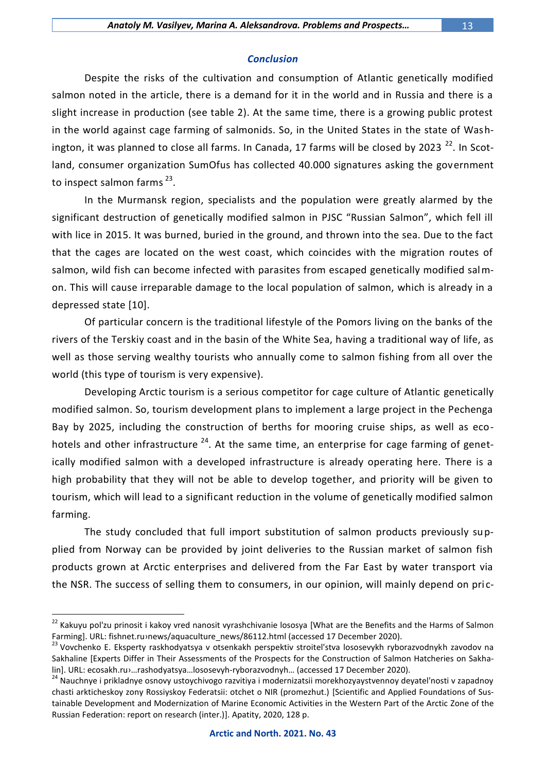Despite the risks of the cultivation and consumption of Atlantic genetically modified salmon noted in the article, there is a demand for it in the world and in Russia and there is a slight increase in production (see table 2). At the same time, there is a growing public protest in the world against cage farming of salmonids. So, in the United States in the state of Washington, it was planned to close all farms. In Canada, 17 farms will be closed by 2023<sup>22</sup>. In Scotland, consumer organization SumOfus has collected 40.000 signatures asking the government to inspect salmon farms<sup>23</sup>.

In the Murmansk region, specialists and the population were greatly alarmed by the significant destruction of genetically modified salmon in PJSC "Russian Salmon", which fell ill with lice in 2015. It was burned, buried in the ground, and thrown into the sea. Due to the fact that the cages are located on the west coast, which coincides with the migration routes of salmon, wild fish can become infected with parasites from escaped genetically modified salmon. This will cause irreparable damage to the local population of salmon, which is already in a depressed state [10].

Of particular concern is the traditional lifestyle of the Pomors living on the banks of the rivers of the Terskiy coast and in the basin of the White Sea, having a traditional way of life, as well as those serving wealthy tourists who annually come to salmon fishing from all over the world (this type of tourism is very expensive).

Developing Arctic tourism is a serious competitor for cage culture of Atlantic genetically modified salmon. So, tourism development plans to implement a large project in the Pechenga Bay by 2025, including the construction of berths for mooring cruise ships, as well as ecohotels and other infrastructure <sup>24</sup>. At the same time, an enterprise for cage farming of genetically modified salmon with a developed infrastructure is already operating here. There is a high probability that they will not be able to develop together, and priority will be given to tourism, which will lead to a significant reduction in the volume of genetically modified salmon farming.

The study concluded that full import substitution of salmon products previously supplied from Norway can be provided by joint deliveries to the Russian market of salmon fish products grown at Arctic enterprises and delivered from the Far East by water transport via the NSR. The success of selling them to consumers, in our opinion, will mainly depend on pric-

<u>.</u>

<sup>&</sup>lt;sup>22</sup> Kakuyu pol'zu prinosit i kakoy vred nanosit vyrashchivanie lososya [What are the Benefits and the Harms of Salmon Farming]. URL: fishnet.ru>[news/aquaculture\\_news/86112.html](https://www.fishnet.ru/news/aquaculture_news/86112.html) (accessed 17 December 2020).

<sup>&</sup>lt;sup>23</sup> Vovchenko E. Eksperty raskhodyatsya v otsenkakh perspektiv stroitel'stva lososevykh ryborazvodnykh zavodov na Sakhaline [Experts Differ in Their Assessments of the Prospects for the Construction of Salmon Hatcheries on Sakhalin]. URL: ecosakh.ru[›…rashodyatsya…lososevyh](https://ecosakh.ru/2012/04/13/rybackaya-gazeta-za-aprel-2012-g-statya-e-vovchenko-eksperty-rashodyatsya-v-ocenkah-perspektiv-stroitelstva-lososevyh-ryborazvodnyh-zavodov-na-sahaline/)-ryborazvodnyh… (accessed 17 December 2020).

<sup>&</sup>lt;sup>24</sup> Nauchnye i prikladnye osnovy ustoychivogo razvitiya i modernizatsii morekhozyaystvennoy deyatel'nosti v zapadnoy chasti arkticheskoy zony Rossiyskoy Federatsii: otchet o NIR (promezhut.) [Scientific and Applied Foundations of Sustainable Development and Modernization of Marine Economic Activities in the Western Part of the Arctic Zone of the Russian Federation: report on research (inter.)]. Apatity, 2020, 128 p.